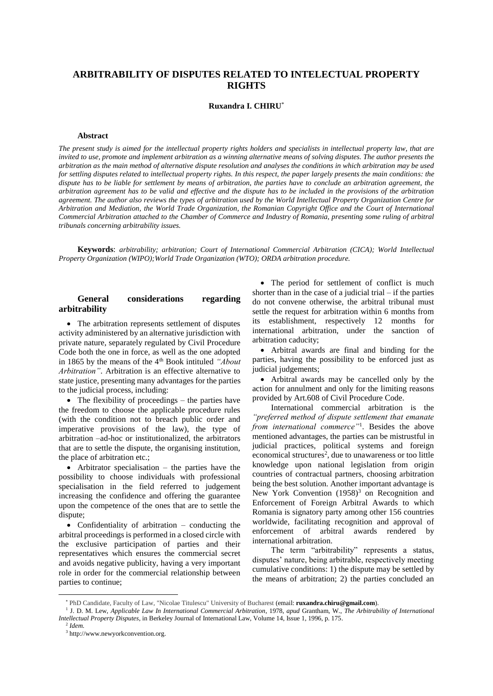# **ARBITRABILITY OF DISPUTES RELATED TO INTELECTUAL PROPERTY RIGHTS**

#### **Ruxandra I. CHIRU**\*

#### **Abstract**

*The present study is aimed for the intellectual property rights holders and specialists in intellectual property law, that are invited to use, promote and implement arbitration as a winning alternative means of solving disputes. The author presents the arbitration as the main method of alternative dispute resolution and analyses the conditions in which arbitration may be used for settling disputes related to intellectual property rights. In this respect, the paper largely presents the main conditions: the dispute has to be liable for settlement by means of arbitration, the parties have to conclude an arbitration agreement, the arbitration agreement has to be valid and effective and the dispute has to be included in the provisions of the arbitration agreement. The author also reviews the types of arbitration used by the World Intellectual Property Organization Centre for Arbitration and Mediation, the World Trade Organization, the Romanian Copyright Office and the Court of International Commercial Arbitration attached to the Chamber of Commerce and Industry of Romania, presenting some ruling of arbitral tribunals concerning arbitrability issues.* 

**Keywords**: *arbitrability; arbitration; Court of International Commercial Arbitration (CICA); World Intellectual Property Organization (WIPO);World Trade Organization (WTO); ORDA arbitration procedure.* 

### **General considerations regarding arbitrability**

• The arbitration represents settlement of disputes activity administered by an alternative jurisdiction with private nature, separately regulated by Civil Procedure Code both the one in force, as well as the one adopted in 1865 by the means of the 4th Book intituled *"About Arbitration"*. Arbitration is an effective alternative to state justice, presenting many advantages for the parties to the judicial process, including:

• The flexibility of proceedings – the parties have the freedom to choose the applicable procedure rules (with the condition not to breach public order and imperative provisions of the law), the type of arbitration –ad-hoc or institutionalized, the arbitrators that are to settle the dispute, the organising institution, the place of arbitration etc.;

• Arbitrator specialisation – the parties have the possibility to choose individuals with professional specialisation in the field referred to judgement increasing the confidence and offering the guarantee upon the competence of the ones that are to settle the dispute;

 Confidentiality of arbitration – conducting the arbitral proceedings is performed in a closed circle with the exclusive participation of parties and their representatives which ensures the commercial secret and avoids negative publicity, having a very important role in order for the commercial relationship between parties to continue;

• The period for settlement of conflict is much shorter than in the case of a judicial trial  $-$  if the parties do not convene otherwise, the arbitral tribunal must settle the request for arbitration within 6 months from its establishment, respectively 12 months for international arbitration, under the sanction of arbitration caducity;

 Arbitral awards are final and binding for the parties, having the possibility to be enforced just as judicial judgements;

 Arbitral awards may be cancelled only by the action for annulment and only for the limiting reasons provided by Art.608 of Civil Procedure Code.

International commercial arbitration is the *"preferred method of dispute settlement that emanate from international commerce"*<sup>1</sup> . Besides the above mentioned advantages, the parties can be mistrustful in judicial practices, political systems and foreign economical structures<sup>2</sup>, due to unawareness or too little knowledge upon national legislation from origin countries of contractual partners, choosing arbitration being the best solution. Another important advantage is New York Convention  $(1958)^3$  on Recognition and Enforcement of Foreign Arbitral Awards to which Romania is signatory party among other 156 countries worldwide, facilitating recognition and approval of enforcement of arbitral awards rendered by international arbitration.

The term "arbitrability" represents a status, disputes' nature, being arbitrable, respectively meeting cumulative conditions: 1) the dispute may be settled by the means of arbitration; 2) the parties concluded an

<sup>\*</sup> PhD Candidate, Faculty of Law, "Nicolae Titulescu" University of Bucharest (email: **ruxandra.chiru@gmail.com**).

<sup>&</sup>lt;sup>1</sup> J. D. M. Lew, *Applicable Law In International Commercial Arbitration*, 1978, *apud* Grantham, W., *The Arbitrability of International Intellectual Property Disputes*, in Berkeley Journal of International Law, Volume 14, Issue 1, 1996, p. 175.

<sup>2</sup> *Idem.* 

<sup>3</sup> http://www.newyorkconvention.org.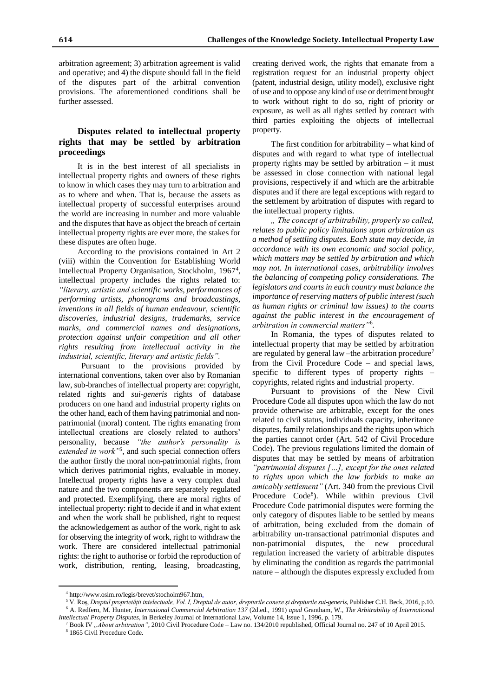arbitration agreement; 3) arbitration agreement is valid and operative; and 4) the dispute should fall in the field of the disputes part of the arbitral convention provisions. The aforementioned conditions shall be further assessed.

## **Disputes related to intellectual property rights that may be settled by arbitration proceedings**

It is in the best interest of all specialists in intellectual property rights and owners of these rights to know in which cases they may turn to arbitration and as to where and when. That is, because the assets as intellectual property of successful enterprises around the world are increasing in number and more valuable and the disputes that have as object the breach of certain intellectual property rights are ever more, the stakes for these disputes are often huge.

According to the provisions contained in Art 2 (viii) within the Convention for Establishing World Intellectual Property Organisation, Stockholm, 1967<sup>4</sup>, intellectual property includes the rights related to: *"literary, artistic and scientific works, performances of performing artists, phonograms and broadcastings, inventions in all fields of human endeavour, scientific discoveries, industrial designs, trademarks, service marks, and commercial names and designations, protection against unfair competition and all other rights resulting from intellectual activity in the industrial, scientific, literary and artistic fields".*

Pursuant to the provisions provided by international conventions, taken over also by Romanian law, sub-branches of intellectual property are: copyright, related rights and *sui-generis* rights of database producers on one hand and industrial property rights on the other hand, each of them having patrimonial and nonpatrimonial (moral) content. The rights emanating from intellectual creations are closely related to authors' personality, because *"the author's personality is*  extended in work<sup>"5</sup>, and such special connection offers the author firstly the moral non-patrimonial rights, from which derives patrimonial rights, evaluable in money. Intellectual property rights have a very complex dual nature and the two components are separately regulated and protected. Exemplifying, there are moral rights of intellectual property: right to decide if and in what extent and when the work shall be published, right to request the acknowledgement as author of the work, right to ask for observing the integrity of work, right to withdraw the work. There are considered intellectual patrimonial rights: the right to authorise or forbid the reproduction of work, distribution, renting, leasing, broadcasting,

creating derived work, the rights that emanate from a registration request for an industrial property object (patent, industrial design, utility model), exclusive right of use and to oppose any kind of use or detriment brought to work without right to do so, right of priority or exposure, as well as all rights settled by contract with third parties exploiting the objects of intellectual property.

The first condition for arbitrability – what kind of disputes and with regard to what type of intellectual property rights may be settled by arbitration – it must be assessed in close connection with national legal provisions, respectively if and which are the arbitrable disputes and if there are legal exceptions with regard to the settlement by arbitration of disputes with regard to the intellectual property rights.

*" The concept of arbitrability, properly so called, relates to public policy limitations upon arbitration as a method of settling disputes. Each state may decide, in accordance with its own economic and social policy, which matters may be settled by arbitration and which may not. In international cases, arbitrability involves the balancing of competing policy considerations. The legislators and courts in each country must balance the importance of reserving matters of public interest (such as human rights or criminal law issues) to the courts against the public interest in the encouragement of arbitration in commercial matters"*<sup>6</sup> *.*

In Romania, the types of disputes related to intellectual property that may be settled by arbitration are regulated by general law –the arbitration procedure<sup>7</sup> from the Civil Procedure Code – and special laws, specific to different types of property rights – copyrights, related rights and industrial property.

Pursuant to provisions of the New Civil Procedure Code all disputes upon which the law do not provide otherwise are arbitrable, except for the ones related to civil status, individuals capacity, inheritance disputes, family relationships and the rights upon which the parties cannot order (Art. 542 of Civil Procedure Code). The previous regulations limited the domain of disputes that may be settled by means of arbitration *"patrimonial disputes […], except for the ones related to rights upon which the law forbids to make an amicably settlement"* (Art. 340 from the previous Civil Procedure Code<sup>8</sup>). While within previous Civil Procedure Code patrimonial disputes were forming the only category of disputes liable to be settled by means of arbitration, being excluded from the domain of arbitrability un-transactional patrimonial disputes and non-patrimonial disputes, the new procedural regulation increased the variety of arbitrable disputes by eliminating the condition as regards the patrimonial nature – although the disputes expressly excluded from

<sup>4</sup> http://www.osim.ro/legis/brevet/stocholm967.htm.

<sup>5</sup> V. Roș, *Dreptul proprietății intelectuale, Vol. I, Dreptul de autor, drepturile conexe și drepturile sui-generis*, Publisher C.H. Beck, 2016, p.10. <sup>6</sup> A. Redfern, M. Hunter, *International Commercial Arbitration 137* (2d.ed., 1991) *apud* Grantham, W., *The Arbitrability of International Intellectual Property Disputes*, in Berkeley Journal of International Law, Volume 14, Issue 1, 1996, p. 179.

<sup>7</sup> Book IV *"About arbitration"*, 2010 Civil Procedure Code – Law no. 134/2010 republished, Official Journal no. 247 of 10 April 2015.

<sup>8</sup> 1865 Civil Procedure Code.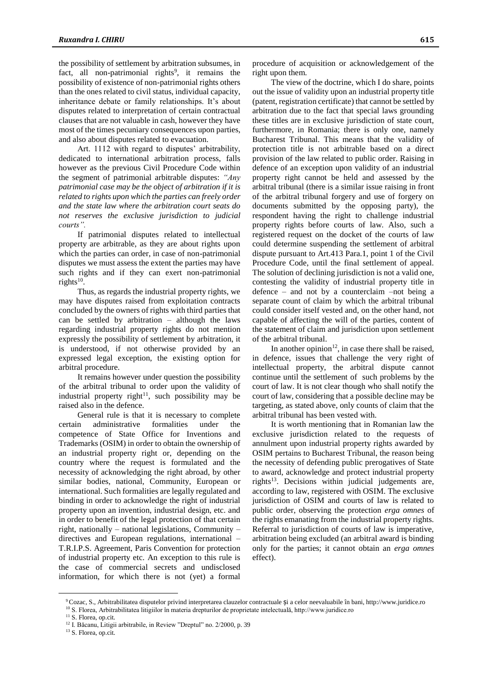the possibility of settlement by arbitration subsumes, in fact, all non-patrimonial rights<sup>9</sup>, it remains the possibility of existence of non-patrimonial rights others than the ones related to civil status, individual capacity, inheritance debate or family relationships. It's about disputes related to interpretation of certain contractual clauses that are not valuable in cash, however they have most of the times pecuniary consequences upon parties, and also about disputes related to evacuation.

Art. 1112 with regard to disputes' arbitrability, dedicated to international arbitration process, falls however as the previous Civil Procedure Code within the segment of patrimonial arbitrable disputes: *"Any patrimonial case may be the object of arbitration if it is related to rights upon which the parties can freely order and the state law where the arbitration court seats do not reserves the exclusive jurisdiction to judicial courts".*

If patrimonial disputes related to intellectual property are arbitrable, as they are about rights upon which the parties can order, in case of non-patrimonial disputes we must assess the extent the parties may have such rights and if they can exert non-patrimonial rights 10 .

Thus, as regards the industrial property rights, we may have disputes raised from exploitation contracts concluded by the owners of rights with third parties that can be settled by arbitration – although the laws regarding industrial property rights do not mention expressly the possibility of settlement by arbitration, it is understood, if not otherwise provided by an expressed legal exception, the existing option for arbitral procedure.

It remains however under question the possibility of the arbitral tribunal to order upon the validity of industrial property right<sup>11</sup>, such possibility may be raised also in the defence.

General rule is that it is necessary to complete certain administrative formalities under the competence of State Office for Inventions and Trademarks (OSIM) in order to obtain the ownership of an industrial property right or, depending on the country where the request is formulated and the necessity of acknowledging the right abroad, by other similar bodies, national, Community, European or international. Such formalities are legally regulated and binding in order to acknowledge the right of industrial property upon an invention, industrial design, etc. and in order to benefit of the legal protection of that certain right, nationally – national legislations, Community – directives and European regulations, international – T.R.I.P.S. Agreement, Paris Convention for protection of industrial property etc. An exception to this rule is the case of commercial secrets and undisclosed information, for which there is not (yet) a formal

procedure of acquisition or acknowledgement of the right upon them.

The view of the doctrine, which I do share, points out the issue of validity upon an industrial property title (patent, registration certificate) that cannot be settled by arbitration due to the fact that special laws grounding these titles are in exclusive jurisdiction of state court, furthermore, in Romania; there is only one, namely Bucharest Tribunal. This means that the validity of protection title is not arbitrable based on a direct provision of the law related to public order. Raising in defence of an exception upon validity of an industrial property right cannot be held and assessed by the arbitral tribunal (there is a similar issue raising in front of the arbitral tribunal forgery and use of forgery on documents submitted by the opposing party), the respondent having the right to challenge industrial property rights before courts of law. Also, such a registered request on the docket of the courts of law could determine suspending the settlement of arbitral dispute pursuant to Art.413 Para.1, point 1 of the Civil Procedure Code, until the final settlement of appeal. The solution of declining jurisdiction is not a valid one, contesting the validity of industrial property title in defence – and not by a counterclaim –not being a separate count of claim by which the arbitral tribunal could consider itself vested and, on the other hand, not capable of affecting the will of the parties, content of the statement of claim and jurisdiction upon settlement of the arbitral tribunal.

In another opinion<sup>12</sup>, in case there shall be raised, in defence, issues that challenge the very right of intellectual property, the arbitral dispute cannot continue until the settlement of such problems by the court of law. It is not clear though who shall notify the court of law, considering that a possible decline may be targeting, as stated above, only counts of claim that the arbitral tribunal has been vested with.

It is worth mentioning that in Romanian law the exclusive jurisdiction related to the requests of annulment upon industrial property rights awarded by OSIM pertains to Bucharest Tribunal, the reason being the necessity of defending public prerogatives of State to award, acknowledge and protect industrial property rights $13$ . Decisions within judicial judgements are, according to law, registered with OSIM. The exclusive jurisdiction of OSIM and courts of law is related to public order, observing the protection *erga omnes* of the rights emanating from the industrial property rights. Referral to jurisdiction of courts of law is imperative, arbitration being excluded (an arbitral award is binding only for the parties; it cannot obtain an *erga omnes*  effect).

<sup>9</sup>Cozac, S., Arbitrabilitatea disputelor privind interpretarea clauzelor contractuale și a celor neevaluabile în bani, http://www.juridice.ro <sup>10</sup> S. Florea, Arbitrabilitatea litigiilor în materia drepturilor de proprietate intelectuală, http://www.juridice.ro

<sup>&</sup>lt;sup>11</sup> S. Florea, op.cit.

<sup>&</sup>lt;sup>12</sup> I. Băcanu, Litigii arbitrabile, in Review "Dreptul" no. 2/2000, p. 39

<sup>&</sup>lt;sup>13</sup> S. Florea, op.cit.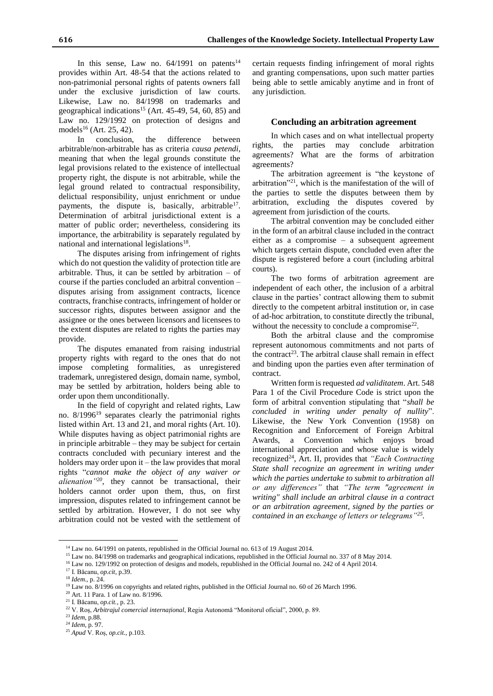In this sense, Law no.  $64/1991$  on patents<sup>14</sup> provides within Art. 48-54 that the actions related to non-patrimonial personal rights of patents owners fall under the exclusive jurisdiction of law courts. Likewise, Law no. 84/1998 on trademarks and geographical indications<sup>15</sup> (Art. 45-49, 54, 60, 85) and Law no. 129/1992 on protection of designs and models<sup>16</sup> (Art. 25, 42).

In conclusion, the difference between arbitrable/non-arbitrable has as criteria *causa petendi*, meaning that when the legal grounds constitute the legal provisions related to the existence of intellectual property right, the dispute is not arbitrable, while the legal ground related to contractual responsibility, delictual responsibility, unjust enrichment or undue payments, the dispute is, basically, arbitrable<sup>17</sup>. Determination of arbitral jurisdictional extent is a matter of public order; nevertheless, considering its importance, the arbitrability is separately regulated by national and international legislations<sup>18</sup>.

The disputes arising from infringement of rights which do not question the validity of protection title are arbitrable. Thus, it can be settled by arbitration  $-$  of course if the parties concluded an arbitral convention – disputes arising from assignment contracts, licence contracts, franchise contracts, infringement of holder or successor rights, disputes between assignor and the assignee or the ones between licensors and licensees to the extent disputes are related to rights the parties may provide.

The disputes emanated from raising industrial property rights with regard to the ones that do not impose completing formalities, as unregistered trademark, unregistered design, domain name, symbol, may be settled by arbitration, holders being able to order upon them unconditionally.

In the field of copyright and related rights, Law no.  $8/1996^{19}$  separates clearly the patrimonial rights listed within Art. 13 and 21, and moral rights (Art. 10). While disputes having as object patrimonial rights are in principle arbitrable – they may be subject for certain contracts concluded with pecuniary interest and the holders may order upon it – the law provides that moral rights "*cannot make the object of any waiver or alienation"<sup>20</sup>*, they cannot be transactional, their holders cannot order upon them, thus, on first impression, disputes related to infringement cannot be settled by arbitration. However, I do not see why arbitration could not be vested with the settlement of

certain requests finding infringement of moral rights and granting compensations, upon such matter parties being able to settle amicably anytime and in front of any jurisdiction.

#### **Concluding an arbitration agreement**

In which cases and on what intellectual property rights, the parties may conclude arbitration agreements? What are the forms of arbitration agreements?

The arbitration agreement is "the keystone of arbitration"<sup>21</sup>, which is the manifestation of the will of the parties to settle the disputes between them by arbitration, excluding the disputes covered by agreement from jurisdiction of the courts.

The arbitral convention may be concluded either in the form of an arbitral clause included in the contract either as a compromise – a subsequent agreement which targets certain dispute, concluded even after the dispute is registered before a court (including arbitral courts).

The two forms of arbitration agreement are independent of each other, the inclusion of a arbitral clause in the parties' contract allowing them to submit directly to the competent arbitral institution or, in case of ad-hoc arbitration, to constitute directly the tribunal, without the necessity to conclude a compromise<sup>22</sup>.

Both the arbitral clause and the compromise represent autonomous commitments and not parts of the contract<sup>23</sup>. The arbitral clause shall remain in effect and binding upon the parties even after termination of contract.

Written form is requested *ad validitatem*. Art. 548 Para 1 of the Civil Procedure Code is strict upon the form of arbitral convention stipulating that "*shall be concluded in writing under penalty of nullity*". Likewise, the New York Convention (1958) on Recognition and Enforcement of Foreign Arbitral Awards, a Convention which enjoys broad international appreciation and whose value is widely recognized<sup>24</sup>, Art. II, provides that *"Each Contracting State shall recognize an agreement in writing under which the parties undertake to submit to arbitration all or any differences"* that *"The term "agreement in writing" shall include an arbitral clause in a contract or an arbitration agreement, signed by the parties or contained in an exchange of letters or telegrams"<sup>25</sup> .*

 $\overline{a}$ 

<sup>20</sup> Art. 11 Para. 1 of Law no. 8/1996.

<sup>&</sup>lt;sup>14</sup> Law no. 64/1991 on patents, republished in the Official Journal no. 613 of 19 August 2014.

<sup>15</sup> Law no. 84/1998 on trademarks and geographical indications, republished in the Official Journal no. 337 of 8 May 2014.

<sup>&</sup>lt;sup>16</sup> Law no. 129/1992 on protection of designs and models, republished in the Official Journal no. 242 of 4 April 2014.

<sup>17</sup> I. Băcanu, *op.cit*, p.39.

<sup>18</sup> *Idem.,* p. 24.

<sup>&</sup>lt;sup>19</sup> Law no. 8/1996 on copyrights and related rights, published in the Official Journal no. 60 of 26 March 1996.

<sup>21</sup> I. Băcanu, *op.cit.,* p. 23.

<sup>22</sup> V. Roș, *Arbitrajul comercial internațional*, Regia Autonomă "Monitorul oficial", 2000, p. 89.

<sup>23</sup> *Idem*, p.88.

<sup>24</sup> *Idem,* p. 97.

<sup>25</sup> *Apud* V. Roș, *op.cit.*, p.103.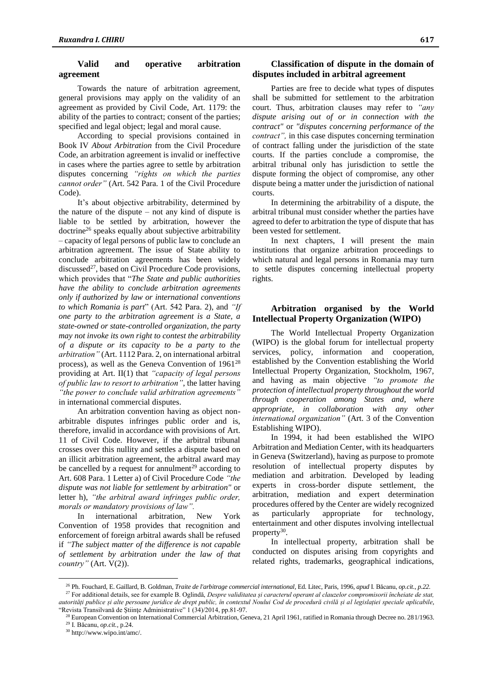### **Valid and operative arbitration agreement**

Towards the nature of arbitration agreement, general provisions may apply on the validity of an agreement as provided by Civil Code, Art. 1179: the ability of the parties to contract; consent of the parties; specified and legal object; legal and moral cause.

According to special provisions contained in Book IV *About Arbitration* from the Civil Procedure Code, an arbitration agreement is invalid or ineffective in cases where the parties agree to settle by arbitration disputes concerning *"rights on which the parties cannot order"* (Art. 542 Para. 1 of the Civil Procedure Code).

It's about objective arbitrability, determined by the nature of the dispute – not any kind of dispute is liable to be settled by arbitration, however the doctrine<sup>26</sup> speaks equally about subjective arbitrability – capacity of legal persons of public law to conclude an arbitration agreement. The issue of State ability to conclude arbitration agreements has been widely  $discussed<sup>27</sup>$ , based on Civil Procedure Code provisions, which provides that "*The State and public authorities have the ability to conclude arbitration agreements only if authorized by law or international conventions to which Romania is part*" (Art. 542 Para. 2), and *"If one party to the arbitration agreement is a State, a state-owned or state-controlled organization, the party may not invoke its own right to contest the arbitrability of a dispute or its capacity to be a party to the arbitration"* (Art. 1112 Para. 2, on international arbitral process), as well as the Geneva Convention of 1961<sup>28</sup> providing at Art. II(1) that *"capacity of legal persons of public law to resort to arbitration"*, the latter having *"the power to conclude valid arbitration agreements"* in international commercial disputes.

An arbitration convention having as object nonarbitrable disputes infringes public order and is, therefore, invalid in accordance with provisions of Art. 11 of Civil Code. However, if the arbitral tribunal crosses over this nullity and settles a dispute based on an illicit arbitration agreement, the arbitral award may be cancelled by a request for annulment<sup>29</sup> according to Art. 608 Para. 1 Letter a) of Civil Procedure Code *"the dispute was not liable for settlement by arbitration"* or letter h), *"the arbitral award infringes public order, morals or mandatory provisions of law".*

In international arbitration, New York Convention of 1958 provides that recognition and enforcement of foreign arbitral awards shall be refused if *"The subject matter of the difference is not capable of settlement by arbitration under the law of that country"* (Art. V(2)).

### **Classification of dispute in the domain of disputes included in arbitral agreement**

Parties are free to decide what types of disputes shall be submitted for settlement to the arbitration court. Thus, arbitration clauses may refer to *"any dispute arising out of or in connection with the contract"* or *"disputes concerning performance of the contract",* in this case disputes concerning termination of contract falling under the jurisdiction of the state courts. If the parties conclude a compromise, the arbitral tribunal only has jurisdiction to settle the dispute forming the object of compromise, any other dispute being a matter under the jurisdiction of national courts.

In determining the arbitrability of a dispute, the arbitral tribunal must consider whether the parties have agreed to defer to arbitration the type of dispute that has been vested for settlement.

In next chapters, I will present the main institutions that organize arbitration proceedings to which natural and legal persons in Romania may turn to settle disputes concerning intellectual property rights.

# **Arbitration organised by the World Intellectual Property Organization (WIPO)**

The World Intellectual Property Organization (WIPO) is the global forum for intellectual property services, policy, information and cooperation, established by the Convention establishing the World Intellectual Property Organization, Stockholm, 1967, and having as main objective *"to promote the protection of intellectual property throughout the world through cooperation among States and, where appropriate, in collaboration with any other international organization"* (Art. 3 of the Convention Establishing WIPO).

In 1994, it had been established the WIPO Arbitration and Mediation Center, with its headquarters in Geneva (Switzerland), having as purpose to promote resolution of intellectual property disputes by mediation and arbitration. Developed by leading experts in cross-border dispute settlement, the arbitration, mediation and expert determination procedures offered by the Center are widely recognized as particularly appropriate for technology, entertainment and other disputes involving intellectual property<sup>30</sup>.

In intellectual property, arbitration shall be conducted on disputes arising from copyrights and related rights, trademarks, geographical indications,

<sup>27</sup> For additional details, see for example B. Oglindă, *Despre validitatea și caracterul operant al clauzelor compromisorii încheiate de stat, autorități publice și alte persoane juridice de drept public, în contextul Noului Cod de procedură civilă și al legislației speciale aplicabile*, "Revista Transilvană de Ştiinţe Administrative" 1 (34)/2014, pp.81-97.

<sup>26</sup> Ph. Fouchard, E. Gaillard, B. Goldman, *Traite de l'arbitrage commercial international,* Ed. Litec, Paris, 1996, *apud* I. Băcanu, *op.cit., p.22.*

<sup>&</sup>lt;sup>8</sup> European Convention on International Commercial Arbitration, Geneva, 21 April 1961, ratified in Romania through Decree no. 281/1963. <sup>29</sup> I. Băcanu, *op.cit.,* p.24.

<sup>30</sup> http://www.wipo.int/amc/.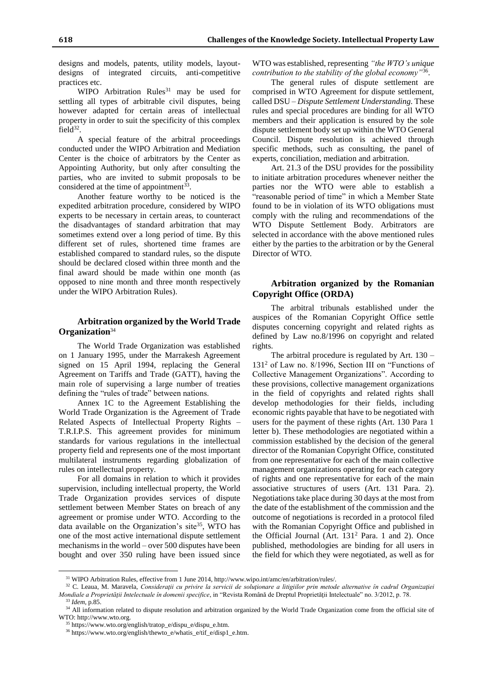designs and models, patents, utility models, layoutdesigns of integrated circuits, anti-competitive practices etc.

WIPO Arbitration Rules<sup>31</sup> may be used for settling all types of arbitrable civil disputes, being however adapted for certain areas of intellectual property in order to suit the specificity of this complex field $3^2$ .

A special feature of the arbitral proceedings conducted under the WIPO Arbitration and Mediation Center is the choice of arbitrators by the Center as Appointing Authority, but only after consulting the parties, who are invited to submit proposals to be considered at the time of appointment $^{33}$ .

Another feature worthy to be noticed is the expedited arbitration procedure, considered by WIPO experts to be necessary in certain areas, to counteract the disadvantages of standard arbitration that may sometimes extend over a long period of time. By this different set of rules, shortened time frames are established compared to standard rules, so the dispute should be declared closed within three month and the final award should be made within one month (as opposed to nine month and three month respectively under the WIPO Arbitration Rules).

## **Arbitration organized by the World Trade Organization**<sup>34</sup>

The World Trade Organization was established on 1 January 1995, under the Marrakesh Agreement signed on 15 April 1994, replacing the General Agreement on Tariffs and Trade (GATT), having the main role of supervising a large number of treaties defining the "rules of trade" between nations.

Annex 1C to the Agreement Establishing the World Trade Organization is the Agreement of Trade Related Aspects of Intellectual Property Rights – T.R.I.P.S. This agreement provides for minimum standards for various regulations in the intellectual property field and represents one of the most important multilateral instruments regarding globalization of rules on intellectual property.

For all domains in relation to which it provides supervision, including intellectual property, the World Trade Organization provides services of dispute settlement between Member States on breach of any agreement or promise under WTO. According to the data available on the Organization's site<sup>35</sup>, WTO has one of the most active international dispute settlement mechanisms in the world – over 500 disputes have been bought and over 350 ruling have been issued since WTO was established, representing *"the WTO's unique contribution to the stability of the global economy"*<sup>36</sup> .

The general rules of dispute settlement are comprised in WTO Agreement for dispute settlement, called DSU – *Dispute Settlement Understanding.* These rules and special procedures are binding for all WTO members and their application is ensured by the sole dispute settlement body set up within the WTO General Council. Dispute resolution is achieved through specific methods, such as consulting, the panel of experts, conciliation, mediation and arbitration.

Art. 21.3 of the DSU provides for the possibility to initiate arbitration procedures whenever neither the parties nor the WTO were able to establish a "reasonable period of time" in which a Member State found to be in violation of its WTO obligations must comply with the ruling and recommendations of the WTO Dispute Settlement Body. Arbitrators are selected in accordance with the above mentioned rules either by the parties to the arbitration or by the General Director of WTO.

## **Arbitration organized by the Romanian Copyright Office (ORDA)**

The arbitral tribunals established under the auspices of the Romanian Copyright Office settle disputes concerning copyright and related rights as defined by Law no.8/1996 on copyright and related rights.

The arbitral procedure is regulated by Art. 130 – 131<sup>2</sup> of Law no. 8/1996, Section III on "Functions of Collective Management Organizations". According to these provisions, collective management organizations in the field of copyrights and related rights shall develop methodologies for their fields, including economic rights payable that have to be negotiated with users for the payment of these rights (Art. 130 Para 1 letter b). These methodologies are negotiated within a commission established by the decision of the general director of the Romanian Copyright Office, constituted from one representative for each of the main collective management organizations operating for each category of rights and one representative for each of the main associative structures of users (Art. 131 Para. 2). Negotiations take place during 30 days at the most from the date of the establishment of the commission and the outcome of negotiations is recorded in a protocol filed with the Romanian Copyright Office and published in the Official Journal (Art.  $131<sup>2</sup>$  Para. 1 and 2). Once published, methodologies are binding for all users in the field for which they were negotiated, as well as for

<sup>31</sup> WIPO Arbitration Rules, effective from 1 June 2014, http://www.wipo.int/amc/en/arbitration/rules/.

<sup>32</sup> C. Leaua, M. Maravela, *Consideraţii cu privire la servicii de soluţionare a litigiilor prin metode alternative în cadrul Organizaţiei Mondiale a Proprietăţii Intelectuale în domenii specifice*, in "Revista Română de Dreptul Proprietăţii Intelectuale" no. 3/2012, p. 78. <sup>33</sup> *Idem*, p.85.

<sup>&</sup>lt;sup>34</sup> All information related to dispute resolution and arbitration organized by the World Trade Organization come from the official site of WTO: http://www.wto.org.

<sup>35</sup> https://www.wto.org/english/tratop\_e/dispu\_e/dispu\_e.htm.

<sup>36</sup> https://www.wto.org/english/thewto\_e/whatis\_e/tif\_e/disp1\_e.htm.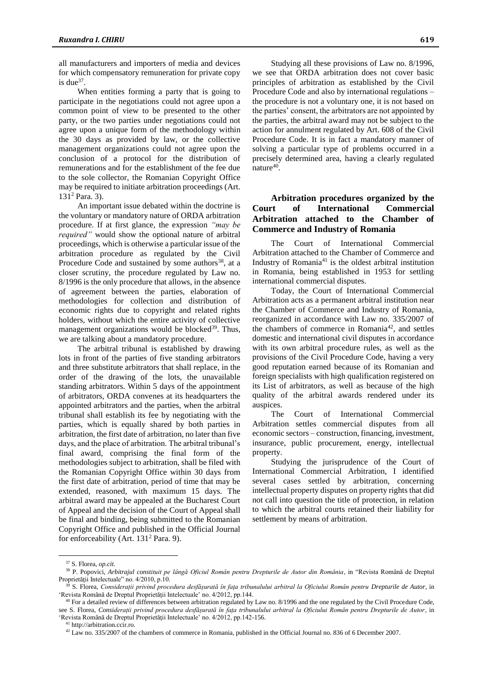all manufacturers and importers of media and devices for which compensatory remuneration for private copy is due<sup>37</sup>.

When entities forming a party that is going to participate in the negotiations could not agree upon a common point of view to be presented to the other party, or the two parties under negotiations could not agree upon a unique form of the methodology within the 30 days as provided by law, or the collective management organizations could not agree upon the conclusion of a protocol for the distribution of remunerations and for the establishment of the fee due to the sole collector, the Romanian Copyright Office may be required to initiate arbitration proceedings (Art. 131<sup>2</sup> Para. 3).

An important issue debated within the doctrine is the voluntary or mandatory nature of ORDA arbitration procedure. If at first glance, the expression *"may be required"* would show the optional nature of arbitral proceedings, which is otherwise a particular issue of the arbitration procedure as regulated by the Civil Procedure Code and sustained by some authors<sup>38</sup>, at a closer scrutiny, the procedure regulated by Law no. 8/1996 is the only procedure that allows, in the absence of agreement between the parties, elaboration of methodologies for collection and distribution of economic rights due to copyright and related rights holders, without which the entire activity of collective management organizations would be blocked<sup>39</sup>. Thus, we are talking about a mandatory procedure.

The arbitral tribunal is established by drawing lots in front of the parties of five standing arbitrators and three substitute arbitrators that shall replace, in the order of the drawing of the lots, the unavailable standing arbitrators. Within 5 days of the appointment of arbitrators, ORDA convenes at its headquarters the appointed arbitrators and the parties, when the arbitral tribunal shall establish its fee by negotiating with the parties, which is equally shared by both parties in arbitration, the first date of arbitration, no later than five days, and the place of arbitration. The arbitral tribunal's final award, comprising the final form of the methodologies subject to arbitration, shall be filed with the Romanian Copyright Office within 30 days from the first date of arbitration, period of time that may be extended, reasoned, with maximum 15 days. The arbitral award may be appealed at the Bucharest Court of Appeal and the decision of the Court of Appeal shall be final and binding, being submitted to the Romanian Copyright Office and published in the Official Journal for enforceability (Art. 131<sup>2</sup> Para. 9).

Studying all these provisions of Law no. 8/1996, we see that ORDA arbitration does not cover basic principles of arbitration as established by the Civil Procedure Code and also by international regulations – the procedure is not a voluntary one, it is not based on the parties' consent, the arbitrators are not appointed by the parties, the arbitral award may not be subject to the action for annulment regulated by Art. 608 of the Civil Procedure Code. It is in fact a mandatory manner of solving a particular type of problems occurred in a precisely determined area, having a clearly regulated nature<sup>40</sup>.

# **Arbitration procedures organized by the Court of International Commercial Arbitration attached to the Chamber of Commerce and Industry of Romania**

The Court of International Commercial Arbitration attached to the Chamber of Commerce and Industry of Romania<sup>41</sup> is the oldest arbitral institution in Romania, being established in 1953 for settling international commercial disputes.

Today, the Court of International Commercial Arbitration acts as a permanent arbitral institution near the Chamber of Commerce and Industry of Romania, reorganized in accordance with Law no. 335/2007 of the chambers of commerce in Romania<sup>42</sup>, and settles domestic and international civil disputes in accordance with its own arbitral procedure rules, as well as the provisions of the Civil Procedure Code, having a very good reputation earned because of its Romanian and foreign specialists with high qualification registered on its List of arbitrators, as well as because of the high quality of the arbitral awards rendered under its auspices.

The Court of International Commercial Arbitration settles commercial disputes from all economic sectors – construction, financing, investment, insurance, public procurement, energy, intellectual property.

Studying the jurisprudence of the Court of International Commercial Arbitration, I identified several cases settled by arbitration, concerning intellectual property disputes on property rights that did not call into question the title of protection, in relation to which the arbitral courts retained their liability for settlement by means of arbitration.

<sup>37</sup> S. Florea, *op.cit.*

<sup>38</sup> P. Popovici, *Arbitrajul constituit pe lângă Oficiul Român pentru Drepturile de Autor din România*, in "Revista Română de Dreptul Proprietăţii Intelectuale" no. 4/2010, p.10.

<sup>39</sup> S. Florea, *Considerații privind procedura desfășurată în fața tribunalului arbitral la Oficiului Român pentru Drepturile de Autor*, in 'Revista Română de Dreptul Proprietăţii Intelectuale' no. 4/2012, pp.144.

 $40$  For a detailed review of differences between arbitration regulated by Law no.  $8/1996$  and the one regulated by the Civil Procedure Code, see S. Florea, *Considerații privind procedura desfășurată în fața tribunalului arbitral la Oficiului Român pentru Drepturile de Autor*, in 'Revista Română de Dreptul Proprietăţii Intelectuale' no. 4/2012, pp.142-156.

<sup>41</sup> http://arbitration.ccir.ro.

<sup>&</sup>lt;sup>42</sup> Law no. 335/2007 of the chambers of commerce in Romania, published in the Official Journal no. 836 of 6 December 2007.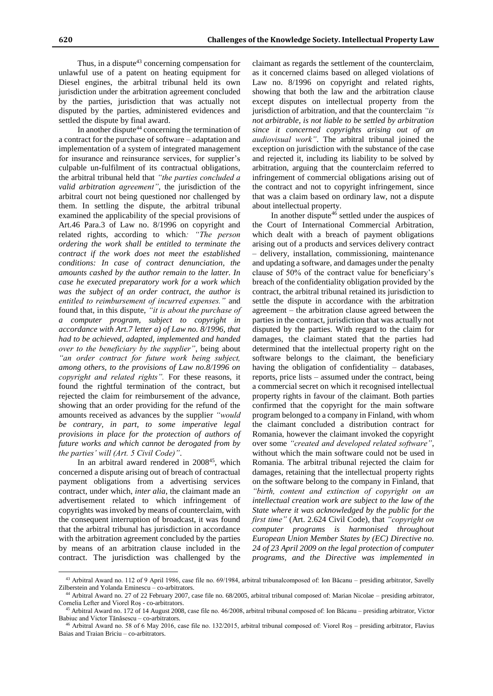Thus, in a dispute<sup>43</sup> concerning compensation for unlawful use of a patent on heating equipment for Diesel engines, the arbitral tribunal held its own jurisdiction under the arbitration agreement concluded by the parties, jurisdiction that was actually not disputed by the parties, administered evidences and settled the dispute by final award.

In another dispute<sup>44</sup> concerning the termination of a contract for the purchase of software – adaptation and implementation of a system of integrated management for insurance and reinsurance services, for supplier's culpable un-fulfilment of its contractual obligations, the arbitral tribunal held that *"the parties concluded a valid arbitration agreement"*, the jurisdiction of the arbitral court not being questioned nor challenged by them. In settling the dispute, the arbitral tribunal examined the applicability of the special provisions of Art.46 Para.3 of Law no. 8/1996 on copyright and related rights, according to which*: "The person ordering the work shall be entitled to terminate the contract if the work does not meet the established conditions: In case of contract denunciation, the amounts cashed by the author remain to the latter. In case he executed preparatory work for a work which was the subject of an order contract, the author is entitled to reimbursement of incurred expenses."* and found that, in this dispute, *"it is about the purchase of a computer program, subject to copyright in accordance with Art.7 letter a) of Law no. 8/1996, that had to be achieved, adapted, implemented and handed over to the beneficiary by the supplier"*, being about *"an order contract for future work being subject, among others, to the provisions of Law no.8/1996 on copyright and related rights".* For these reasons, it found the rightful termination of the contract, but rejected the claim for reimbursement of the advance, showing that an order providing for the refund of the amounts received as advances by the supplier *"would be contrary, in part, to some imperative legal provisions in place for the protection of authors of future works and which cannot be derogated from by the parties' will (Art. 5 Civil Code)"*.

In an arbitral award rendered in 2008<sup>45</sup>, which concerned a dispute arising out of breach of contractual payment obligations from a advertising services contract, under which, *inter alia*, the claimant made an advertisement related to which infringement of copyrights was invoked by means of counterclaim, with the consequent interruption of broadcast, it was found that the arbitral tribunal has jurisdiction in accordance with the arbitration agreement concluded by the parties by means of an arbitration clause included in the contract. The jurisdiction was challenged by the

 $\overline{a}$ 

claimant as regards the settlement of the counterclaim, as it concerned claims based on alleged violations of Law no. 8/1996 on copyright and related rights, showing that both the law and the arbitration clause except disputes on intellectual property from the jurisdiction of arbitration, and that the counterclaim *"is not arbitrable, is not liable to be settled by arbitration since it concerned copyrights arising out of an audiovisual work"*. The arbitral tribunal joined the exception on jurisdiction with the substance of the case and rejected it, including its liability to be solved by arbitration, arguing that the counterclaim referred to infringement of commercial obligations arising out of the contract and not to copyright infringement, since that was a claim based on ordinary law, not a dispute about intellectual property.

In another dispute<sup>46</sup> settled under the auspices of the Court of International Commercial Arbitration, which dealt with a breach of payment obligations arising out of a products and services delivery contract – delivery, installation, commissioning, maintenance and updating a software, and damages under the penalty clause of 50% of the contract value for beneficiary's breach of the confidentiality obligation provided by the contract, the arbitral tribunal retained its jurisdiction to settle the dispute in accordance with the arbitration agreement – the arbitration clause agreed between the parties in the contract, jurisdiction that was actually not disputed by the parties. With regard to the claim for damages, the claimant stated that the parties had determined that the intellectual property right on the software belongs to the claimant, the beneficiary having the obligation of confidentiality – databases, reports, price lists – assumed under the contract, being a commercial secret on which it recognised intellectual property rights in favour of the claimant. Both parties confirmed that the copyright for the main software program belonged to a company in Finland, with whom the claimant concluded a distribution contract for Romania, however the claimant invoked the copyright over some *"created and developed related software"*, without which the main software could not be used in Romania. The arbitral tribunal rejected the claim for damages, retaining that the intellectual property rights on the software belong to the company in Finland, that *"birth, content and extinction of copyright on an intellectual creation work are subject to the law of the State where it was acknowledged by the public for the first time"* (Art. 2.624 Civil Code), that *"copyright on computer programs is harmonised throughout European Union Member States by (EC) Directive no. 24 of 23 April 2009 on the legal protection of computer programs, and the Directive was implemented in* 

<sup>43</sup> Arbitral Award no. 112 of 9 April 1986, case file no. 69/1984, arbitral tribunalcomposed of: Ion Băcanu – presiding arbitrator, Savelly Zilberstein and Yolanda Eminescu – co-arbitrators.

<sup>44</sup> Arbitral Award no. 27 of 22 February 2007, case file no. 68/2005, arbitral tribunal composed of: Marian Nicolae – presiding arbitrator, Cornelia Lefter and Viorel Roș - co-arbitrators.

<sup>45</sup> Arbitral Award no. 172 of 14 August 2008, case file no. 46/2008, arbitral tribunal composed of: Ion Băcanu – presiding arbitrator, Victor Babiuc and Victor Tănăsescu – co-arbitrators.

<sup>46</sup> Arbitral Award no. 58 of 6 May 2016, case file no. 132/2015, arbitral tribunal composed of: Viorel Roș – presiding arbitrator, Flavius Baias and Traian Briciu – co-arbitrators.